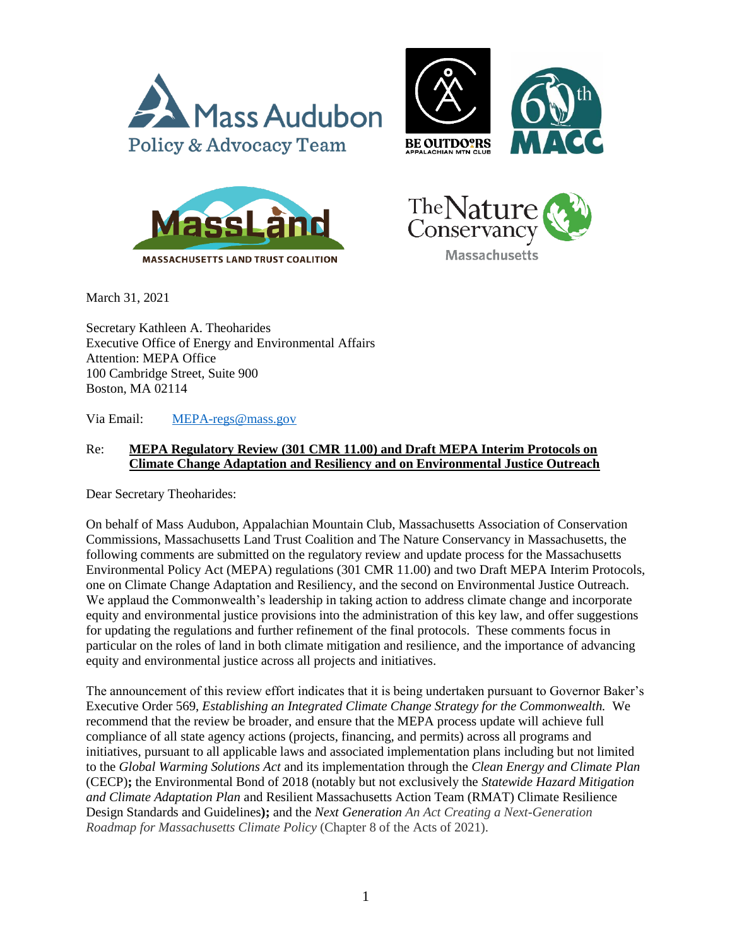







March 31, 2021

Secretary Kathleen A. Theoharides Executive Office of Energy and Environmental Affairs Attention: MEPA Office 100 Cambridge Street, Suite 900 Boston, MA 02114

Via Email: [MEPA-regs@mass.gov](mailto:MEPA-regs@mass.gov)

## Re: **MEPA Regulatory Review (301 CMR 11.00) and Draft MEPA Interim Protocols on Climate Change Adaptation and Resiliency and on Environmental Justice Outreach**

Dear Secretary Theoharides:

On behalf of Mass Audubon, Appalachian Mountain Club, Massachusetts Association of Conservation Commissions, Massachusetts Land Trust Coalition and The Nature Conservancy in Massachusetts, the following comments are submitted on the regulatory review and update process for the Massachusetts Environmental Policy Act (MEPA) regulations (301 CMR 11.00) and two Draft MEPA Interim Protocols, one on Climate Change Adaptation and Resiliency, and the second on Environmental Justice Outreach. We applaud the Commonwealth's leadership in taking action to address climate change and incorporate equity and environmental justice provisions into the administration of this key law, and offer suggestions for updating the regulations and further refinement of the final protocols. These comments focus in particular on the roles of land in both climate mitigation and resilience, and the importance of advancing equity and environmental justice across all projects and initiatives.

The announcement of this review effort indicates that it is being undertaken pursuant to Governor Baker's Executive Order 569, *Establishing an Integrated Climate Change Strategy for the Commonwealth.* We recommend that the review be broader, and ensure that the MEPA process update will achieve full compliance of all state agency actions (projects, financing, and permits) across all programs and initiatives, pursuant to all applicable laws and associated implementation plans including but not limited to the *Global Warming Solutions Act* and its implementation through the *Clean Energy and Climate Plan* (CECP)**;** the Environmental Bond of 2018 (notably but not exclusively the *Statewide Hazard Mitigation and Climate Adaptation Plan* and Resilient Massachusetts Action Team (RMAT) Climate Resilience Design Standards and Guidelines**);** and the *Next Generation An Act Creating a Next-Generation Roadmap for Massachusetts Climate Policy* (Chapter 8 of the Acts of 2021).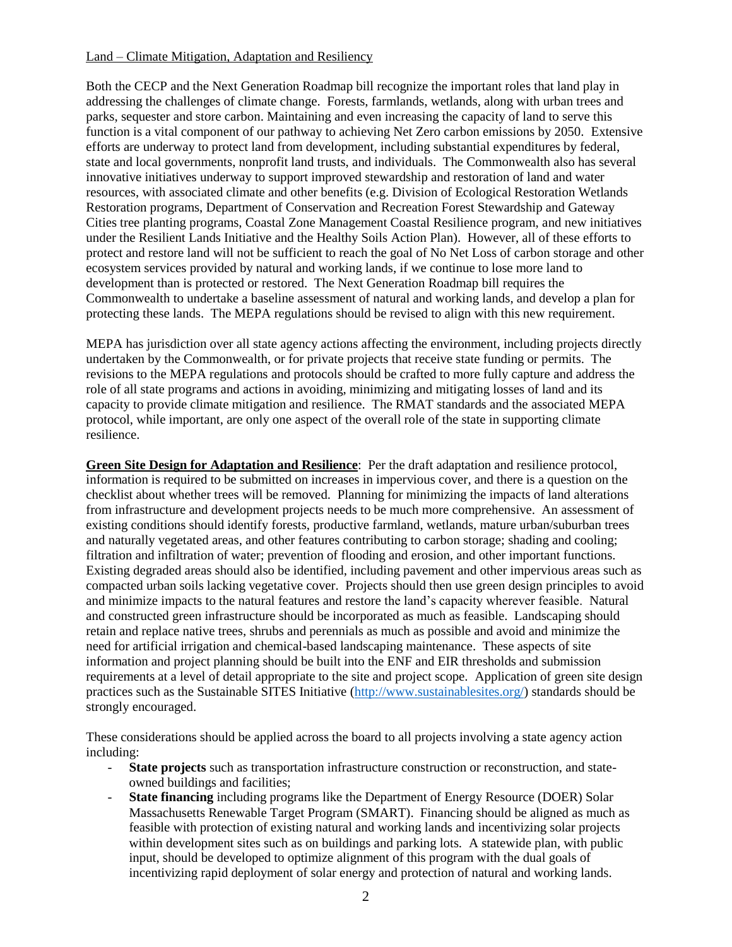## Land – Climate Mitigation, Adaptation and Resiliency

Both the CECP and the Next Generation Roadmap bill recognize the important roles that land play in addressing the challenges of climate change. Forests, farmlands, wetlands, along with urban trees and parks, sequester and store carbon. Maintaining and even increasing the capacity of land to serve this function is a vital component of our pathway to achieving Net Zero carbon emissions by 2050. Extensive efforts are underway to protect land from development, including substantial expenditures by federal, state and local governments, nonprofit land trusts, and individuals. The Commonwealth also has several innovative initiatives underway to support improved stewardship and restoration of land and water resources, with associated climate and other benefits (e.g. Division of Ecological Restoration Wetlands Restoration programs, Department of Conservation and Recreation Forest Stewardship and Gateway Cities tree planting programs, Coastal Zone Management Coastal Resilience program, and new initiatives under the Resilient Lands Initiative and the Healthy Soils Action Plan). However, all of these efforts to protect and restore land will not be sufficient to reach the goal of No Net Loss of carbon storage and other ecosystem services provided by natural and working lands, if we continue to lose more land to development than is protected or restored. The Next Generation Roadmap bill requires the Commonwealth to undertake a baseline assessment of natural and working lands, and develop a plan for protecting these lands. The MEPA regulations should be revised to align with this new requirement.

MEPA has jurisdiction over all state agency actions affecting the environment, including projects directly undertaken by the Commonwealth, or for private projects that receive state funding or permits. The revisions to the MEPA regulations and protocols should be crafted to more fully capture and address the role of all state programs and actions in avoiding, minimizing and mitigating losses of land and its capacity to provide climate mitigation and resilience. The RMAT standards and the associated MEPA protocol, while important, are only one aspect of the overall role of the state in supporting climate resilience.

**Green Site Design for Adaptation and Resilience**: Per the draft adaptation and resilience protocol, information is required to be submitted on increases in impervious cover, and there is a question on the checklist about whether trees will be removed. Planning for minimizing the impacts of land alterations from infrastructure and development projects needs to be much more comprehensive. An assessment of existing conditions should identify forests, productive farmland, wetlands, mature urban/suburban trees and naturally vegetated areas, and other features contributing to carbon storage; shading and cooling; filtration and infiltration of water; prevention of flooding and erosion, and other important functions. Existing degraded areas should also be identified, including pavement and other impervious areas such as compacted urban soils lacking vegetative cover. Projects should then use green design principles to avoid and minimize impacts to the natural features and restore the land's capacity wherever feasible. Natural and constructed green infrastructure should be incorporated as much as feasible. Landscaping should retain and replace native trees, shrubs and perennials as much as possible and avoid and minimize the need for artificial irrigation and chemical-based landscaping maintenance. These aspects of site information and project planning should be built into the ENF and EIR thresholds and submission requirements at a level of detail appropriate to the site and project scope. Application of green site design practices such as the Sustainable SITES Initiative [\(http://www.sustainablesites.org/\)](http://www.sustainablesites.org/) standards should be strongly encouraged.

These considerations should be applied across the board to all projects involving a state agency action including:

- **State projects** such as transportation infrastructure construction or reconstruction, and stateowned buildings and facilities;
- **State financing** including programs like the Department of Energy Resource (DOER) Solar Massachusetts Renewable Target Program (SMART). Financing should be aligned as much as feasible with protection of existing natural and working lands and incentivizing solar projects within development sites such as on buildings and parking lots. A statewide plan, with public input, should be developed to optimize alignment of this program with the dual goals of incentivizing rapid deployment of solar energy and protection of natural and working lands.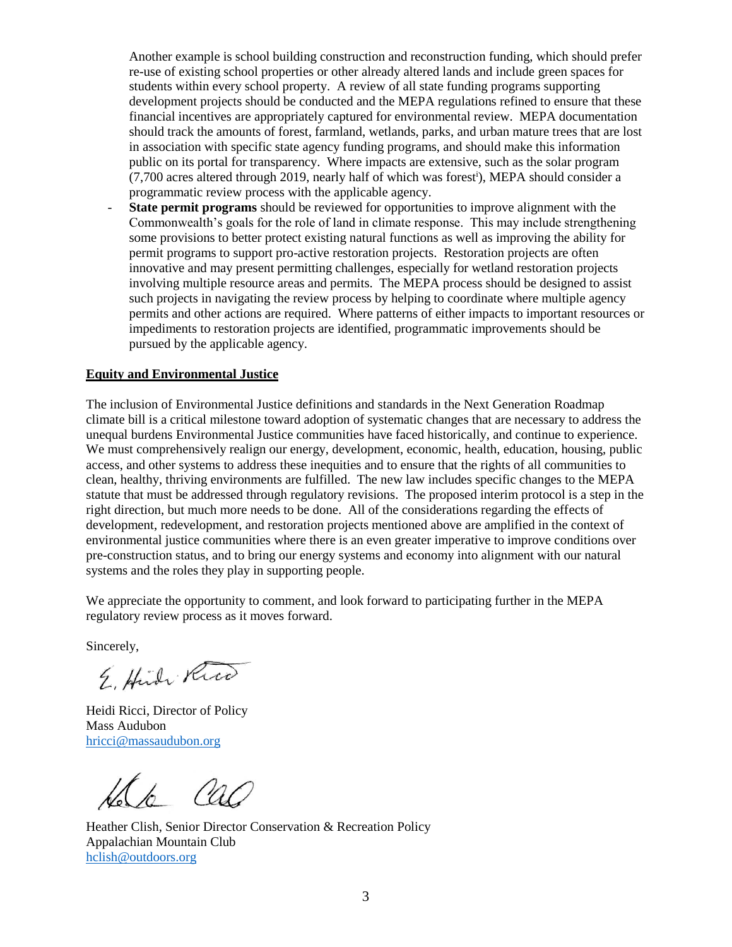Another example is school building construction and reconstruction funding, which should prefer re-use of existing school properties or other already altered lands and include green spaces for students within every school property. A review of all state funding programs supporting development projects should be conducted and the MEPA regulations refined to ensure that these financial incentives are appropriately captured for environmental review. MEPA documentation should track the amounts of forest, farmland, wetlands, parks, and urban mature trees that are lost in association with specific state agency funding programs, and should make this information public on its portal for transparency. Where impacts are extensive, such as the solar program (7,700 acres altered through 2019, nearly half of which was forest<sup>i</sup> ), MEPA should consider a programmatic review process with the applicable agency.

**State permit programs** should be reviewed for opportunities to improve alignment with the Commonwealth's goals for the role of land in climate response. This may include strengthening some provisions to better protect existing natural functions as well as improving the ability for permit programs to support pro-active restoration projects. Restoration projects are often innovative and may present permitting challenges, especially for wetland restoration projects involving multiple resource areas and permits. The MEPA process should be designed to assist such projects in navigating the review process by helping to coordinate where multiple agency permits and other actions are required. Where patterns of either impacts to important resources or impediments to restoration projects are identified, programmatic improvements should be pursued by the applicable agency.

## **Equity and Environmental Justice**

The inclusion of Environmental Justice definitions and standards in the Next Generation Roadmap climate bill is a critical milestone toward adoption of systematic changes that are necessary to address the unequal burdens Environmental Justice communities have faced historically, and continue to experience. We must comprehensively realign our energy, development, economic, health, education, housing, public access, and other systems to address these inequities and to ensure that the rights of all communities to clean, healthy, thriving environments are fulfilled. The new law includes specific changes to the MEPA statute that must be addressed through regulatory revisions. The proposed interim protocol is a step in the right direction, but much more needs to be done. All of the considerations regarding the effects of development, redevelopment, and restoration projects mentioned above are amplified in the context of environmental justice communities where there is an even greater imperative to improve conditions over pre-construction status, and to bring our energy systems and economy into alignment with our natural systems and the roles they play in supporting people.

We appreciate the opportunity to comment, and look forward to participating further in the MEPA regulatory review process as it moves forward.

Sincerely,

E. Hudr Rico

Heidi Ricci, Director of Policy Mass Audubon [hricci@massaudubon.org](mailto:hricci@massaudubon.org)

Heather Clish, Senior Director Conservation & Recreation Policy Appalachian Mountain Club [hclish@outdoors.org](mailto:hclish@outdoors.org)